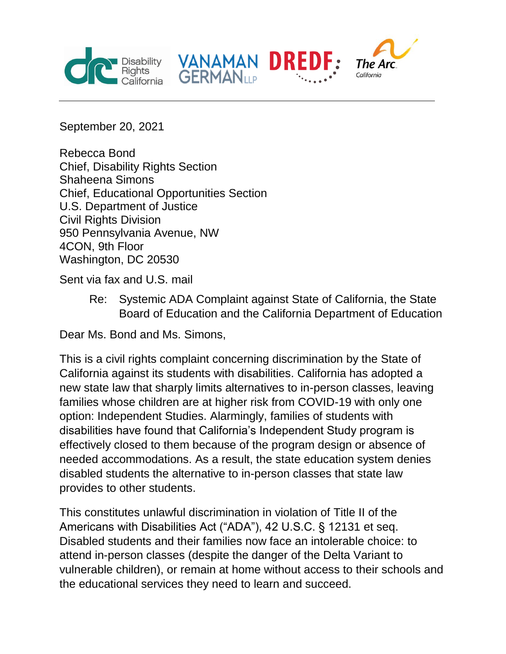



September 20, 2021

Rebecca Bond Chief, Disability Rights Section Shaheena Simons Chief, Educational Opportunities Section U.S. Department of Justice Civil Rights Division 950 Pennsylvania Avenue, NW 4CON, 9th Floor Washington, DC 20530

Sent via fax and U.S. mail

Re: Systemic ADA Complaint against State of California, the State Board of Education and the California Department of Education

Dear Ms. Bond and Ms. Simons,

This is a civil rights complaint concerning discrimination by the State of California against its students with disabilities. California has adopted a new state law that sharply limits alternatives to in-person classes, leaving families whose children are at higher risk from COVID-19 with only one option: Independent Studies. Alarmingly, families of students with disabilities have found that California's Independent Study program is effectively closed to them because of the program design or absence of needed accommodations. As a result, the state education system denies disabled students the alternative to in-person classes that state law provides to other students.

This constitutes unlawful discrimination in violation of Title II of the Americans with Disabilities Act ("ADA"), 42 U.S.C. § 12131 et seq. Disabled students and their families now face an intolerable choice: to attend in-person classes (despite the danger of the Delta Variant to vulnerable children), or remain at home without access to their schools and the educational services they need to learn and succeed.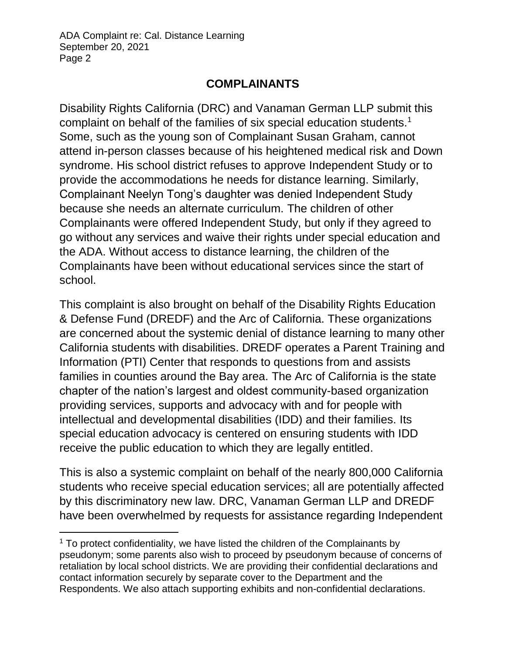l

#### **COMPLAINANTS**

Disability Rights California (DRC) and Vanaman German LLP submit this complaint on behalf of the families of six special education students.<sup>1</sup> Some, such as the young son of Complainant Susan Graham, cannot attend in-person classes because of his heightened medical risk and Down syndrome. His school district refuses to approve Independent Study or to provide the accommodations he needs for distance learning. Similarly, Complainant Neelyn Tong's daughter was denied Independent Study because she needs an alternate curriculum. The children of other Complainants were offered Independent Study, but only if they agreed to go without any services and waive their rights under special education and the ADA. Without access to distance learning, the children of the Complainants have been without educational services since the start of school.

This complaint is also brought on behalf of the Disability Rights Education & Defense Fund (DREDF) and the Arc of California. These organizations are concerned about the systemic denial of distance learning to many other California students with disabilities. DREDF operates a Parent Training and Information (PTI) Center that responds to questions from and assists families in counties around the Bay area. The Arc of California is the state chapter of the nation's largest and oldest community-based organization providing services, supports and advocacy with and for people with intellectual and developmental disabilities (IDD) and their families. Its special education advocacy is centered on ensuring students with IDD receive the public education to which they are legally entitled.

This is also a systemic complaint on behalf of the nearly 800,000 California students who receive special education services; all are potentially affected by this discriminatory new law. DRC, Vanaman German LLP and DREDF have been overwhelmed by requests for assistance regarding Independent

 $1$  To protect confidentiality, we have listed the children of the Complainants by pseudonym; some parents also wish to proceed by pseudonym because of concerns of retaliation by local school districts. We are providing their confidential declarations and contact information securely by separate cover to the Department and the Respondents. We also attach supporting exhibits and non-confidential declarations.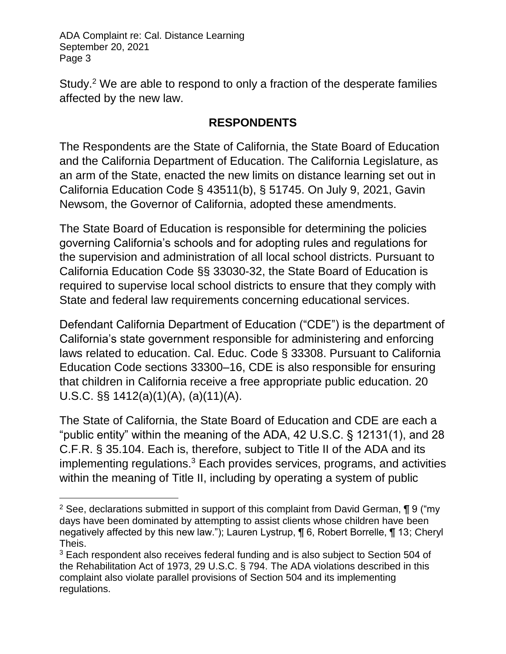l

Study.<sup>2</sup> We are able to respond to only a fraction of the desperate families affected by the new law.

#### **RESPONDENTS**

The Respondents are the State of California, the State Board of Education and the California Department of Education. The California Legislature, as an arm of the State, enacted the new limits on distance learning set out in California Education Code § 43511(b), § 51745. On July 9, 2021, Gavin Newsom, the Governor of California, adopted these amendments.

The State Board of Education is responsible for determining the policies governing California's schools and for adopting rules and regulations for the supervision and administration of all local school districts. Pursuant to California Education Code §§ 33030-32, the State Board of Education is required to supervise local school districts to ensure that they comply with State and federal law requirements concerning educational services.

Defendant California Department of Education ("CDE") is the department of California's state government responsible for administering and enforcing laws related to education. Cal. Educ. Code § 33308. Pursuant to California Education Code sections 33300–16, CDE is also responsible for ensuring that children in California receive a free appropriate public education. 20 U.S.C. §§ 1412(a)(1)(A), (a)(11)(A).

The State of California, the State Board of Education and CDE are each a "public entity" within the meaning of the ADA, 42 U.S.C. § 12131(1), and 28 C.F.R. § 35.104. Each is, therefore, subject to Title II of the ADA and its implementing regulations.<sup>3</sup> Each provides services, programs, and activities within the meaning of Title II, including by operating a system of public

<sup>&</sup>lt;sup>2</sup> See, declarations submitted in support of this complaint from David German,  $\P$  9 ("my days have been dominated by attempting to assist clients whose children have been negatively affected by this new law."); Lauren Lystrup, ¶ 6, Robert Borrelle, ¶ 13; Cheryl Theis.

<sup>&</sup>lt;sup>3</sup> Each respondent also receives federal funding and is also subject to Section 504 of the Rehabilitation Act of 1973, 29 U.S.C. § 794. The ADA violations described in this complaint also violate parallel provisions of Section 504 and its implementing regulations.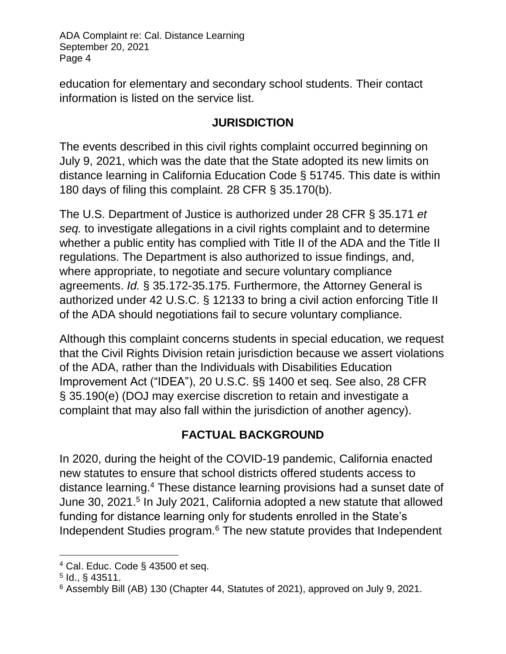education for elementary and secondary school students. Their contact information is listed on the service list.

### **JURISDICTION**

The events described in this civil rights complaint occurred beginning on July 9, 2021, which was the date that the State adopted its new limits on distance learning in California Education Code § 51745. This date is within 180 days of filing this complaint. 28 CFR § 35.170(b).

The U.S. Department of Justice is authorized under 28 CFR § 35.171 *et seq.* to investigate allegations in a civil rights complaint and to determine whether a public entity has complied with Title II of the ADA and the Title II regulations. The Department is also authorized to issue findings, and, where appropriate, to negotiate and secure voluntary compliance agreements. *Id.* § 35.172-35.175. Furthermore, the Attorney General is authorized under 42 U.S.C. § 12133 to bring a civil action enforcing Title II of the ADA should negotiations fail to secure voluntary compliance.

Although this complaint concerns students in special education, we request that the Civil Rights Division retain jurisdiction because we assert violations of the ADA, rather than the Individuals with Disabilities Education Improvement Act ("IDEA"), 20 U.S.C. §§ 1400 et seq. See also, 28 CFR § 35.190(e) (DOJ may exercise discretion to retain and investigate a complaint that may also fall within the jurisdiction of another agency).

# **FACTUAL BACKGROUND**

In 2020, during the height of the COVID-19 pandemic, California enacted new statutes to ensure that school districts offered students access to distance learning.<sup>4</sup> These distance learning provisions had a sunset date of June 30, 2021.<sup>5</sup> In July 2021, California adopted a new statute that allowed funding for distance learning only for students enrolled in the State's Independent Studies program.<sup>6</sup> The new statute provides that Independent

l

 $4$  Cal. Educ. Code § 43500 et seq.

 $5$  Id.,  $\S$  43511.

<sup>6</sup> Assembly Bill (AB) 130 (Chapter 44, Statutes of 2021), approved on July 9, 2021.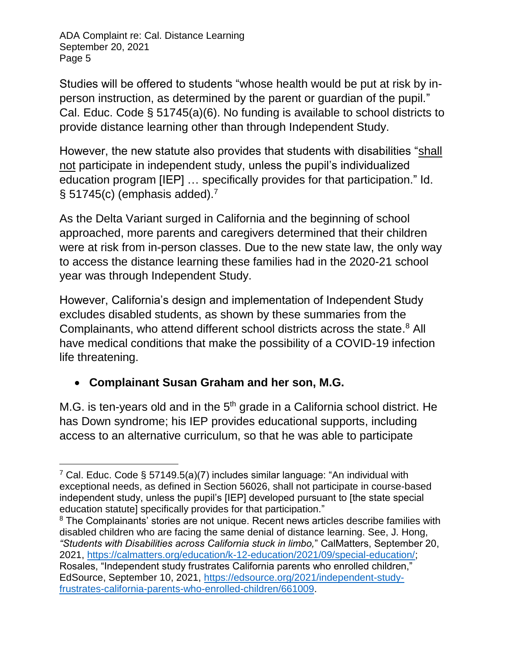Studies will be offered to students "whose health would be put at risk by inperson instruction, as determined by the parent or guardian of the pupil." Cal. Educ. Code § 51745(a)(6). No funding is available to school districts to provide distance learning other than through Independent Study.

However, the new statute also provides that students with disabilities "shall not participate in independent study, unless the pupil's individualized education program [IEP] … specifically provides for that participation." Id.  $\S$  51745(c) (emphasis added).<sup>7</sup>

As the Delta Variant surged in California and the beginning of school approached, more parents and caregivers determined that their children were at risk from in-person classes. Due to the new state law, the only way to access the distance learning these families had in the 2020-21 school year was through Independent Study.

However, California's design and implementation of Independent Study excludes disabled students, as shown by these summaries from the Complainants, who attend different school districts across the state. <sup>8</sup> All have medical conditions that make the possibility of a COVID-19 infection life threatening.

### **Complainant Susan Graham and her son, M.G.**

M.G. is ten-years old and in the  $5<sup>th</sup>$  grade in a California school district. He has Down syndrome; his IEP provides educational supports, including access to an alternative curriculum, so that he was able to participate

 $\overline{a}$ <sup>7</sup> Cal. Educ. Code § 57149.5(a)(7) includes similar language: "An individual with exceptional needs, as defined in Section 56026, shall not participate in course-based independent study, unless the pupil's [IEP] developed pursuant to [the state special education statutel specifically provides for that participation."

<sup>&</sup>lt;sup>8</sup> The Complainants' stories are not unique. Recent news articles describe families with disabled children who are facing the same denial of distance learning. See, J. Hong, *"Students with Disabilities across California stuck in limbo,*" CalMatters, September 20, 2021, [https://calmatters.org/education/k-12-education/2021/09/special-education/;](https://calmatters.org/education/k-12-education/2021/09/special-education/) Rosales, "Independent study frustrates California parents who enrolled children," EdSource, September 10, 2021, [https://edsource.org/2021/independent-study](https://edsource.org/2021/independent-study-frustrates-california-parents-who-enrolled-children/661009)[frustrates-california-parents-who-enrolled-children/661009.](https://edsource.org/2021/independent-study-frustrates-california-parents-who-enrolled-children/661009)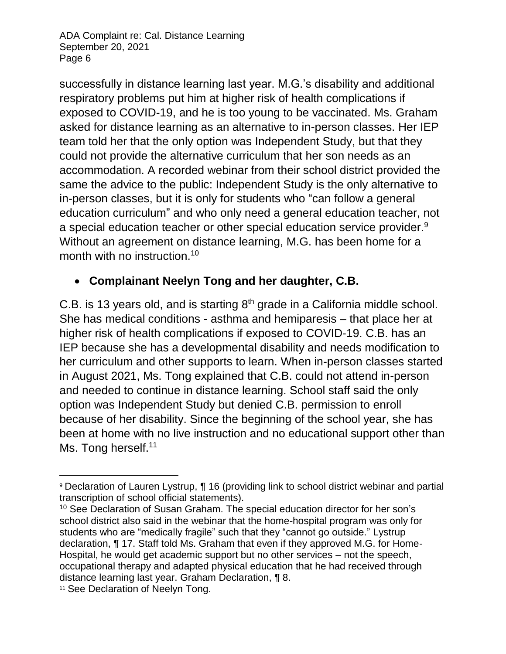successfully in distance learning last year. M.G.'s disability and additional respiratory problems put him at higher risk of health complications if exposed to COVID-19, and he is too young to be vaccinated. Ms. Graham asked for distance learning as an alternative to in-person classes. Her IEP team told her that the only option was Independent Study, but that they could not provide the alternative curriculum that her son needs as an accommodation. A recorded webinar from their school district provided the same the advice to the public: Independent Study is the only alternative to in-person classes, but it is only for students who "can follow a general education curriculum" and who only need a general education teacher, not a special education teacher or other special education service provider. $9$ Without an agreement on distance learning, M.G. has been home for a month with no instruction.<sup>10</sup>

### **Complainant Neelyn Tong and her daughter, C.B.**

C.B. is 13 years old, and is starting 8<sup>th</sup> grade in a California middle school. She has medical conditions - asthma and hemiparesis – that place her at higher risk of health complications if exposed to COVID-19. C.B. has an IEP because she has a developmental disability and needs modification to her curriculum and other supports to learn. When in-person classes started in August 2021, Ms. Tong explained that C.B. could not attend in-person and needed to continue in distance learning. School staff said the only option was Independent Study but denied C.B. permission to enroll because of her disability. Since the beginning of the school year, she has been at home with no live instruction and no educational support other than Ms. Tong herself.<sup>11</sup>

l

<sup>9</sup> Declaration of Lauren Lystrup, ¶ 16 (providing link to school district webinar and partial transcription of school official statements).

<sup>&</sup>lt;sup>10</sup> See Declaration of Susan Graham. The special education director for her son's school district also said in the webinar that the home-hospital program was only for students who are "medically fragile" such that they "cannot go outside." Lystrup declaration, ¶ 17. Staff told Ms. Graham that even if they approved M.G. for Home-Hospital, he would get academic support but no other services – not the speech, occupational therapy and adapted physical education that he had received through distance learning last year. Graham Declaration, ¶ 8.

<sup>11</sup> See Declaration of Neelyn Tong.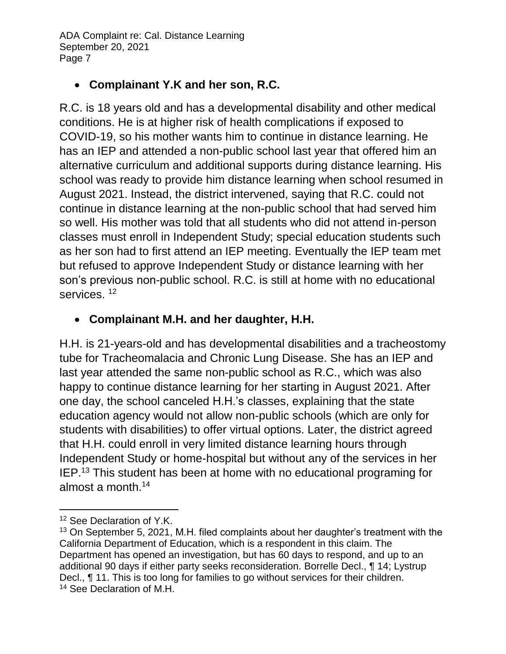### **Complainant Y.K and her son, R.C.**

R.C. is 18 years old and has a developmental disability and other medical conditions. He is at higher risk of health complications if exposed to COVID-19, so his mother wants him to continue in distance learning. He has an IEP and attended a non-public school last year that offered him an alternative curriculum and additional supports during distance learning. His school was ready to provide him distance learning when school resumed in August 2021. Instead, the district intervened, saying that R.C. could not continue in distance learning at the non-public school that had served him so well. His mother was told that all students who did not attend in-person classes must enroll in Independent Study; special education students such as her son had to first attend an IEP meeting. Eventually the IEP team met but refused to approve Independent Study or distance learning with her son's previous non-public school. R.C. is still at home with no educational services.<sup>12</sup>

# **Complainant M.H. and her daughter, H.H.**

H.H. is 21-years-old and has developmental disabilities and a tracheostomy tube for Tracheomalacia and Chronic Lung Disease. She has an IEP and last year attended the same non-public school as R.C., which was also happy to continue distance learning for her starting in August 2021. After one day, the school canceled H.H.'s classes, explaining that the state education agency would not allow non-public schools (which are only for students with disabilities) to offer virtual options. Later, the district agreed that H.H. could enroll in very limited distance learning hours through Independent Study or home-hospital but without any of the services in her IEP.<sup>13</sup> This student has been at home with no educational programing for almost a month.<sup>14</sup>

 <sup>12</sup> See Declaration of Y.K.

<sup>&</sup>lt;sup>13</sup> On September 5, 2021, M.H. filed complaints about her daughter's treatment with the California Department of Education, which is a respondent in this claim. The Department has opened an investigation, but has 60 days to respond, and up to an additional 90 days if either party seeks reconsideration. Borrelle Decl., ¶ 14; Lystrup Decl., ¶ 11. This is too long for families to go without services for their children. <sup>14</sup> See Declaration of M.H.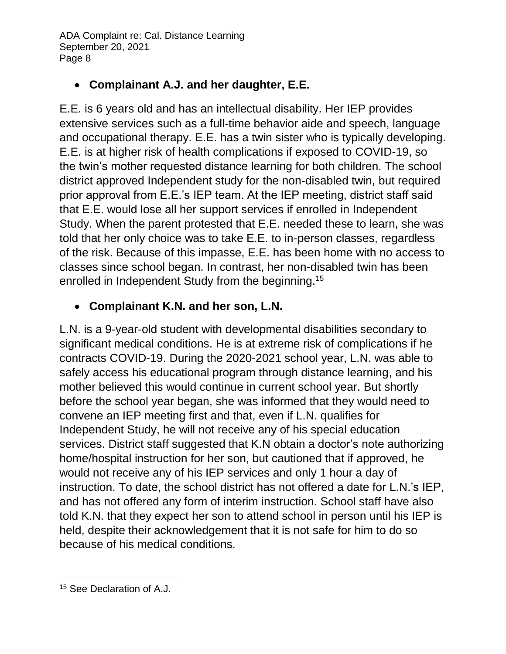# **Complainant A.J. and her daughter, E.E.**

E.E. is 6 years old and has an intellectual disability. Her IEP provides extensive services such as a full-time behavior aide and speech, language and occupational therapy. E.E. has a twin sister who is typically developing. E.E. is at higher risk of health complications if exposed to COVID-19, so the twin's mother requested distance learning for both children. The school district approved Independent study for the non-disabled twin, but required prior approval from E.E.'s IEP team. At the IEP meeting, district staff said that E.E. would lose all her support services if enrolled in Independent Study. When the parent protested that E.E. needed these to learn, she was told that her only choice was to take E.E. to in-person classes, regardless of the risk. Because of this impasse, E.E. has been home with no access to classes since school began. In contrast, her non-disabled twin has been enrolled in Independent Study from the beginning.<sup>15</sup>

# **Complainant K.N. and her son, L.N.**

L.N. is a 9-year-old student with developmental disabilities secondary to significant medical conditions. He is at extreme risk of complications if he contracts COVID-19. During the 2020-2021 school year, L.N. was able to safely access his educational program through distance learning, and his mother believed this would continue in current school year. But shortly before the school year began, she was informed that they would need to convene an IEP meeting first and that, even if L.N. qualifies for Independent Study, he will not receive any of his special education services. District staff suggested that K.N obtain a doctor's note authorizing home/hospital instruction for her son, but cautioned that if approved, he would not receive any of his IEP services and only 1 hour a day of instruction. To date, the school district has not offered a date for L.N.'s IEP, and has not offered any form of interim instruction. School staff have also told K.N. that they expect her son to attend school in person until his IEP is held, despite their acknowledgement that it is not safe for him to do so because of his medical conditions.

 $\overline{a}$ <sup>15</sup> See Declaration of A.J.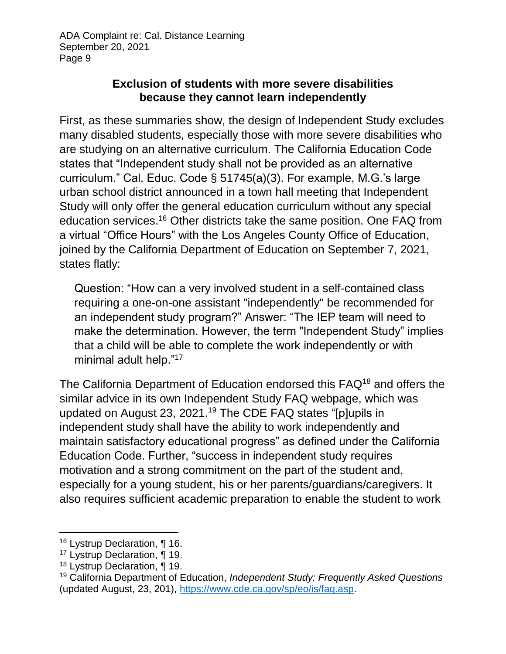#### **Exclusion of students with more severe disabilities because they cannot learn independently**

First, as these summaries show, the design of Independent Study excludes many disabled students, especially those with more severe disabilities who are studying on an alternative curriculum. The California Education Code states that "Independent study shall not be provided as an alternative curriculum." Cal. Educ. Code § 51745(a)(3). For example, M.G.'s large urban school district announced in a town hall meeting that Independent Study will only offer the general education curriculum without any special education services.<sup>16</sup> Other districts take the same position. One FAQ from a virtual "Office Hours" with the Los Angeles County Office of Education, joined by the California Department of Education on September 7, 2021, states flatly:

Question: "How can a very involved student in a self-contained class requiring a one-on-one assistant "independently" be recommended for an independent study program?" Answer: "The IEP team will need to make the determination. However, the term "Independent Study" implies that a child will be able to complete the work independently or with minimal adult help."<sup>17</sup>

The California Department of Education endorsed this FAQ<sup>18</sup> and offers the similar advice in its own Independent Study FAQ webpage, which was updated on August 23, 2021.<sup>19</sup> The CDE FAQ states "[p]upils in independent study shall have the ability to work independently and maintain satisfactory educational progress" as defined under the California Education Code. Further, "success in independent study requires motivation and a strong commitment on the part of the student and, especially for a young student, his or her parents/guardians/caregivers. It also requires sufficient academic preparation to enable the student to work

l

<sup>16</sup> Lystrup Declaration, ¶ 16.

<sup>&</sup>lt;sup>17</sup> Lystrup Declaration, ¶ 19.

<sup>18</sup> Lystrup Declaration, ¶ 19.

<sup>19</sup> California Department of Education, *Independent Study: Frequently Asked Questions* (updated August, 23, 201), [https://www.cde.ca.gov/sp/eo/is/faq.asp.](https://www.cde.ca.gov/sp/eo/is/faq.asp)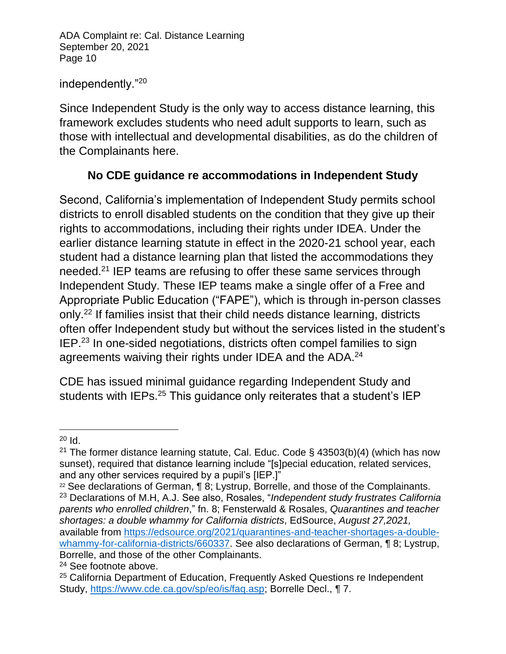#### independently."<sup>20</sup>

Since Independent Study is the only way to access distance learning, this framework excludes students who need adult supports to learn, such as those with intellectual and developmental disabilities, as do the children of the Complainants here.

### **No CDE guidance re accommodations in Independent Study**

Second, California's implementation of Independent Study permits school districts to enroll disabled students on the condition that they give up their rights to accommodations, including their rights under IDEA. Under the earlier distance learning statute in effect in the 2020-21 school year, each student had a distance learning plan that listed the accommodations they needed.<sup>21</sup> IEP teams are refusing to offer these same services through Independent Study. These IEP teams make a single offer of a Free and Appropriate Public Education ("FAPE"), which is through in-person classes only.<sup>22</sup> If families insist that their child needs distance learning, districts often offer Independent study but without the services listed in the student's IEP.<sup>23</sup> In one-sided negotiations, districts often compel families to sign agreements waiving their rights under IDEA and the ADA.<sup>24</sup>

CDE has issued minimal guidance regarding Independent Study and students with IEPs.<sup>25</sup> This guidance only reiterates that a student's IEP

l  $20$  Id.

<sup>&</sup>lt;sup>21</sup> The former distance learning statute, Cal. Educ. Code §  $43503(b)(4)$  (which has now sunset), required that distance learning include "[s]pecial education, related services, and any other services required by a pupil's [IEP.]"

<sup>&</sup>lt;sup>22</sup> See declarations of German, ¶ 8; Lystrup, Borrelle, and those of the Complainants. <sup>23</sup> Declarations of M.H, A.J. See also, Rosales, "*Independent study frustrates California parents who enrolled children*," fn. 8; Fensterwald & Rosales, *Quarantines and teacher shortages: a double whammy for California districts*, EdSource, *August 27,2021,*  available from [https://edsource.org/2021/quarantines-and-teacher-shortages-a-double](https://edsource.org/2021/quarantines-and-teacher-shortages-a-double-whammy-for-california-districts/660337)[whammy-for-california-districts/660337.](https://edsource.org/2021/quarantines-and-teacher-shortages-a-double-whammy-for-california-districts/660337) See also declarations of German, ¶ 8; Lystrup, Borrelle, and those of the other Complainants.

<sup>&</sup>lt;sup>24</sup> See footnote above.

<sup>&</sup>lt;sup>25</sup> California Department of Education, Frequently Asked Questions re Independent Study, [https://www.cde.ca.gov/sp/eo/is/faq.asp;](https://www.cde.ca.gov/sp/eo/is/faq.asp) Borrelle Decl., ¶ 7.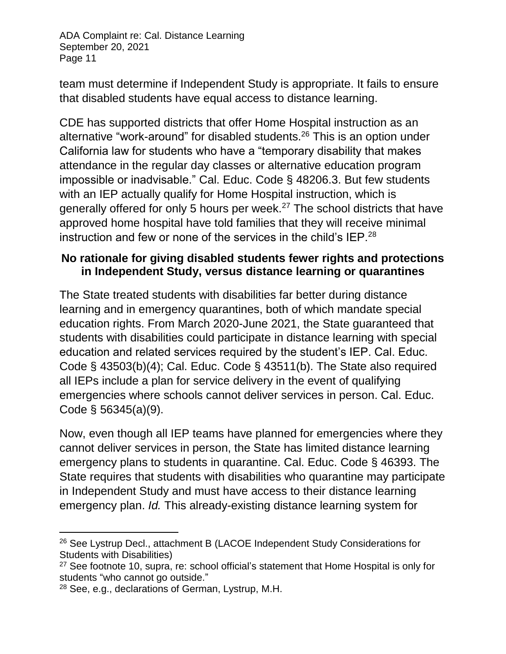team must determine if Independent Study is appropriate. It fails to ensure that disabled students have equal access to distance learning.

CDE has supported districts that offer Home Hospital instruction as an alternative "work-around" for disabled students.<sup>26</sup> This is an option under California law for students who have a "temporary disability that makes attendance in the regular day classes or alternative education program impossible or inadvisable." Cal. Educ. Code § 48206.3. But few students with an IEP actually qualify for Home Hospital instruction, which is generally offered for only 5 hours per week.<sup>27</sup> The school districts that have approved home hospital have told families that they will receive minimal instruction and few or none of the services in the child's IEP.<sup>28</sup>

#### **No rationale for giving disabled students fewer rights and protections in Independent Study, versus distance learning or quarantines**

The State treated students with disabilities far better during distance learning and in emergency quarantines, both of which mandate special education rights. From March 2020-June 2021, the State guaranteed that students with disabilities could participate in distance learning with special education and related services required by the student's IEP. Cal. Educ. Code § 43503(b)(4); Cal. Educ. Code § 43511(b). The State also required all IEPs include a plan for service delivery in the event of qualifying emergencies where schools cannot deliver services in person. Cal. Educ. Code § 56345(a)(9).

Now, even though all IEP teams have planned for emergencies where they cannot deliver services in person, the State has limited distance learning emergency plans to students in quarantine. Cal. Educ. Code § 46393. The State requires that students with disabilities who quarantine may participate in Independent Study and must have access to their distance learning emergency plan. *Id.* This already-existing distance learning system for

l <sup>26</sup> See Lystrup Decl., attachment B (LACOE Independent Study Considerations for Students with Disabilities)

 $27$  See footnote 10, supra, re: school official's statement that Home Hospital is only for students "who cannot go outside."

<sup>28</sup> See, e.g., declarations of German, Lystrup, M.H.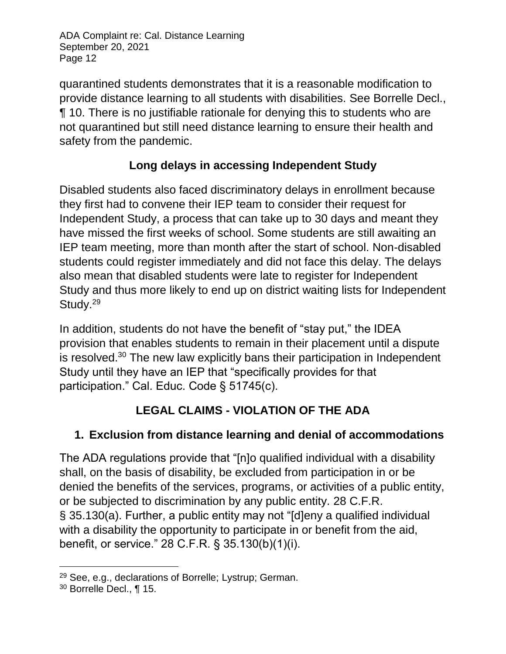quarantined students demonstrates that it is a reasonable modification to provide distance learning to all students with disabilities. See Borrelle Decl., ¶ 10. There is no justifiable rationale for denying this to students who are not quarantined but still need distance learning to ensure their health and safety from the pandemic.

# **Long delays in accessing Independent Study**

Disabled students also faced discriminatory delays in enrollment because they first had to convene their IEP team to consider their request for Independent Study, a process that can take up to 30 days and meant they have missed the first weeks of school. Some students are still awaiting an IEP team meeting, more than month after the start of school. Non-disabled students could register immediately and did not face this delay. The delays also mean that disabled students were late to register for Independent Study and thus more likely to end up on district waiting lists for Independent Study.<sup>29</sup>

In addition, students do not have the benefit of "stay put," the IDEA provision that enables students to remain in their placement until a dispute is resolved. $30$  The new law explicitly bans their participation in Independent Study until they have an IEP that "specifically provides for that participation." Cal. Educ. Code § 51745(c).

# **LEGAL CLAIMS - VIOLATION OF THE ADA**

# **1. Exclusion from distance learning and denial of accommodations**

The ADA regulations provide that "[n]o qualified individual with a disability shall, on the basis of disability, be excluded from participation in or be denied the benefits of the services, programs, or activities of a public entity, or be subjected to discrimination by any public entity. 28 C.F.R. § 35.130(a). Further, a public entity may not "[d]eny a qualified individual with a disability the opportunity to participate in or benefit from the aid, benefit, or service." 28 C.F.R. § 35.130(b)(1)(i).

 <sup>29</sup> See, e.g., declarations of Borrelle; Lystrup; German.

<sup>30</sup> Borrelle Decl., ¶ 15.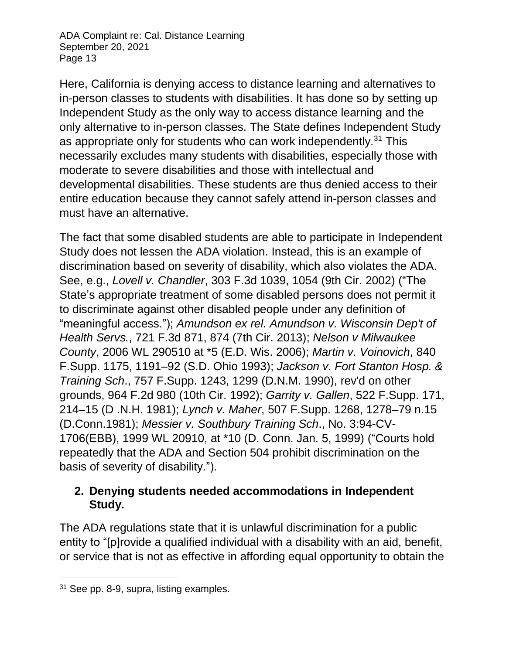Here, California is denying access to distance learning and alternatives to in-person classes to students with disabilities. It has done so by setting up Independent Study as the only way to access distance learning and the only alternative to in-person classes. The State defines Independent Study as appropriate only for students who can work independently.<sup>31</sup> This necessarily excludes many students with disabilities, especially those with moderate to severe disabilities and those with intellectual and developmental disabilities. These students are thus denied access to their entire education because they cannot safely attend in-person classes and must have an alternative.

The fact that some disabled students are able to participate in Independent Study does not lessen the ADA violation. Instead, this is an example of discrimination based on severity of disability, which also violates the ADA. See, e.g., *Lovell v. Chandler*, 303 F.3d 1039, 1054 (9th Cir. 2002) ("The State's appropriate treatment of some disabled persons does not permit it to discriminate against other disabled people under any definition of "meaningful access."); *Amundson ex rel. Amundson v. Wisconsin Dep't of Health Servs.*, 721 F.3d 871, 874 (7th Cir. 2013); *Nelson v Milwaukee County*, 2006 WL 290510 at \*5 (E.D. Wis. 2006); *Martin v. Voinovich*, 840 F.Supp. 1175, 1191–92 (S.D. Ohio 1993); *Jackson v. Fort Stanton Hosp. & Training Sch*., 757 F.Supp. 1243, 1299 (D.N.M. 1990), rev'd on other grounds, 964 F.2d 980 (10th Cir. 1992); *Garrity v. Gallen*, 522 F.Supp. 171, 214–15 (D .N.H. 1981); *Lynch v. Maher*, 507 F.Supp. 1268, 1278–79 n.15 (D.Conn.1981); *Messier v. Southbury Training Sch*., No. 3:94-CV-1706(EBB), 1999 WL 20910, at \*10 (D. Conn. Jan. 5, 1999) ("Courts hold repeatedly that the ADA and Section 504 prohibit discrimination on the basis of severity of disability.").

#### **2. Denying students needed accommodations in Independent Study.**

The ADA regulations state that it is unlawful discrimination for a public entity to "[p]rovide a qualified individual with a disability with an aid, benefit, or service that is not as effective in affording equal opportunity to obtain the

 $\overline{a}$ 

<sup>&</sup>lt;sup>31</sup> See pp. 8-9, supra, listing examples.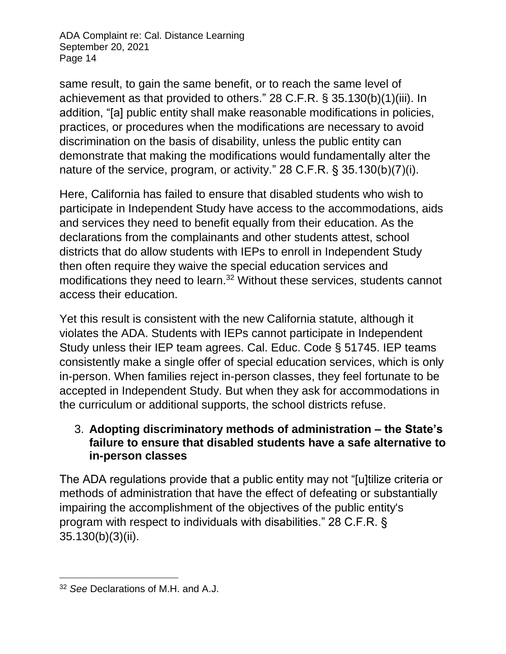same result, to gain the same benefit, or to reach the same level of achievement as that provided to others." 28 C.F.R. § 35.130(b)(1)(iii). In addition, "[a] public entity shall make reasonable modifications in policies, practices, or procedures when the modifications are necessary to avoid discrimination on the basis of disability, unless the public entity can demonstrate that making the modifications would fundamentally alter the nature of the service, program, or activity." 28 C.F.R. § 35.130(b)(7)(i).

Here, California has failed to ensure that disabled students who wish to participate in Independent Study have access to the accommodations, aids and services they need to benefit equally from their education. As the declarations from the complainants and other students attest, school districts that do allow students with IEPs to enroll in Independent Study then often require they waive the special education services and modifications they need to learn.<sup>32</sup> Without these services, students cannot access their education.

Yet this result is consistent with the new California statute, although it violates the ADA. Students with IEPs cannot participate in Independent Study unless their IEP team agrees. Cal. Educ. Code § 51745. IEP teams consistently make a single offer of special education services, which is only in-person. When families reject in-person classes, they feel fortunate to be accepted in Independent Study. But when they ask for accommodations in the curriculum or additional supports, the school districts refuse.

#### 3. **Adopting discriminatory methods of administration – the State's failure to ensure that disabled students have a safe alternative to in-person classes**

The ADA regulations provide that a public entity may not "[u]tilize criteria or methods of administration that have the effect of defeating or substantially impairing the accomplishment of the objectives of the public entity's program with respect to individuals with disabilities." 28 C.F.R. § 35.130(b)(3)(ii).

 $\overline{a}$ <sup>32</sup> *See* Declarations of M.H. and A.J.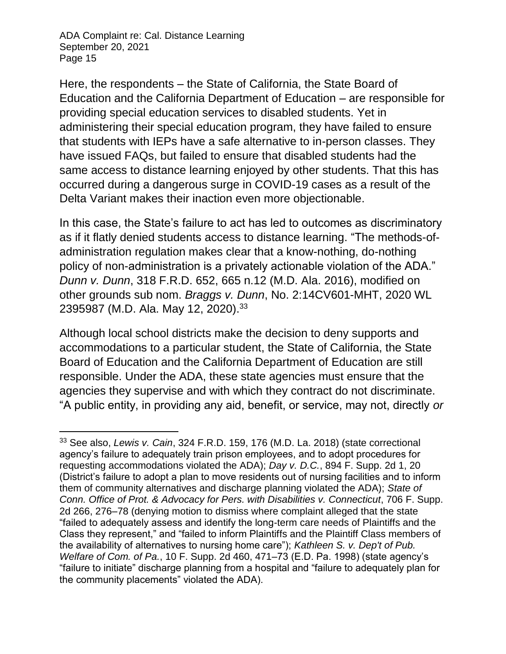Here, the respondents – the State of California, the State Board of Education and the California Department of Education – are responsible for providing special education services to disabled students. Yet in administering their special education program, they have failed to ensure that students with IEPs have a safe alternative to in-person classes. They have issued FAQs, but failed to ensure that disabled students had the same access to distance learning enjoyed by other students. That this has occurred during a dangerous surge in COVID-19 cases as a result of the Delta Variant makes their inaction even more objectionable.

In this case, the State's failure to act has led to outcomes as discriminatory as if it flatly denied students access to distance learning. "The methods-ofadministration regulation makes clear that a know-nothing, do-nothing policy of non-administration is a privately actionable violation of the ADA." *Dunn v. Dunn*, 318 F.R.D. 652, 665 n.12 (M.D. Ala. 2016), modified on other grounds sub nom. *Braggs v. Dunn*, No. 2:14CV601-MHT, 2020 WL 2395987 (M.D. Ala. May 12, 2020).<sup>33</sup>

Although local school districts make the decision to deny supports and accommodations to a particular student, the State of California, the State Board of Education and the California Department of Education are still responsible. Under the ADA, these state agencies must ensure that the agencies they supervise and with which they contract do not discriminate. "A public entity, in providing any aid, benefit, or service, may not, directly *or* 

l <sup>33</sup> See also, *Lewis v. Cain*, 324 F.R.D. 159, 176 (M.D. La. 2018) (state correctional agency's failure to adequately train prison employees, and to adopt procedures for requesting accommodations violated the ADA); *Day v. D.C.*, 894 F. Supp. 2d 1, 20 (District's failure to adopt a plan to move residents out of nursing facilities and to inform them of community alternatives and discharge planning violated the ADA); *State of Conn. Office of Prot. & Advocacy for Pers. with Disabilities v. Connecticut*, 706 F. Supp. 2d 266, 276–78 (denying motion to dismiss where complaint alleged that the state "failed to adequately assess and identify the long-term care needs of Plaintiffs and the Class they represent," and "failed to inform Plaintiffs and the Plaintiff Class members of the availability of alternatives to nursing home care"); *Kathleen S. v. Dep't of Pub. Welfare of Com. of Pa.*, 10 F. Supp. 2d 460, 471–73 (E.D. Pa. 1998) (state agency's "failure to initiate" discharge planning from a hospital and "failure to adequately plan for the community placements" violated the ADA).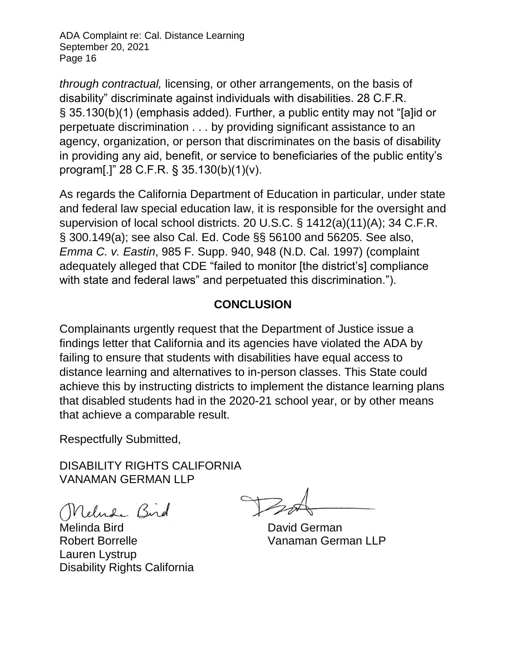*through contractual,* licensing, or other arrangements, on the basis of disability" discriminate against individuals with disabilities. 28 C.F.R. § 35.130(b)(1) (emphasis added). Further, a public entity may not "[a]id or perpetuate discrimination . . . by providing significant assistance to an agency, organization, or person that discriminates on the basis of disability in providing any aid, benefit, or service to beneficiaries of the public entity's program[.]" 28 C.F.R. § 35.130(b)(1)(v).

As regards the California Department of Education in particular, under state and federal law special education law, it is responsible for the oversight and supervision of local school districts. 20 U.S.C. § 1412(a)(11)(A); 34 C.F.R. § 300.149(a); see also Cal. Ed. Code §§ 56100 and 56205. See also, *Emma C. v. Eastin*, 985 F. Supp. 940, 948 (N.D. Cal. 1997) (complaint adequately alleged that CDE "failed to monitor [the district's] compliance with state and federal laws" and perpetuated this discrimination.").

### **CONCLUSION**

Complainants urgently request that the Department of Justice issue a findings letter that California and its agencies have violated the ADA by failing to ensure that students with disabilities have equal access to distance learning and alternatives to in-person classes. This State could achieve this by instructing districts to implement the distance learning plans that disabled students had in the 2020-21 school year, or by other means that achieve a comparable result.

Respectfully Submitted,

DISABILITY RIGHTS CALIFORNIA VANAMAN GERMAN LLP

Nelude Bird

Melinda Bird **David German** Robert Borrelle Vanaman German LLP Lauren Lystrup Disability Rights California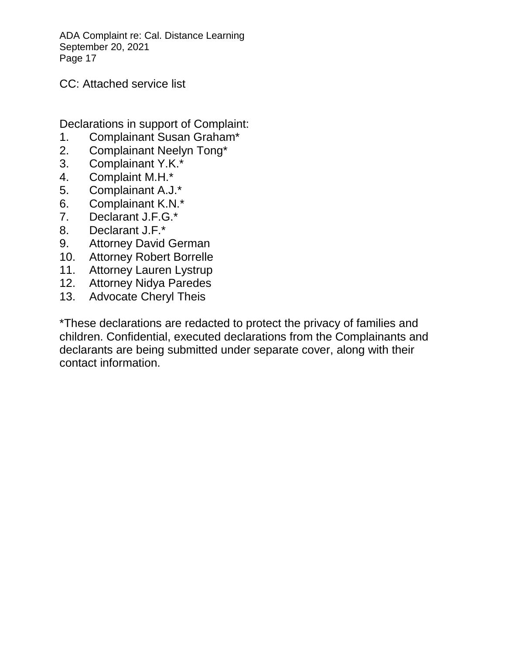CC: Attached service list

Declarations in support of Complaint:

- 1. Complainant Susan Graham\*
- 2. Complainant Neelyn Tong\*
- 3. Complainant Y.K.\*
- 4. Complaint M.H.\*
- 5. Complainant A.J.\*
- 6. Complainant K.N.\*
- 7. Declarant J.F.G.\*
- 8. Declarant J.F.\*
- 9. Attorney David German
- 10. Attorney Robert Borrelle
- 11. Attorney Lauren Lystrup
- 12. Attorney Nidya Paredes
- 13. Advocate Cheryl Theis

\*These declarations are redacted to protect the privacy of families and children. Confidential, executed declarations from the Complainants and declarants are being submitted under separate cover, along with their contact information.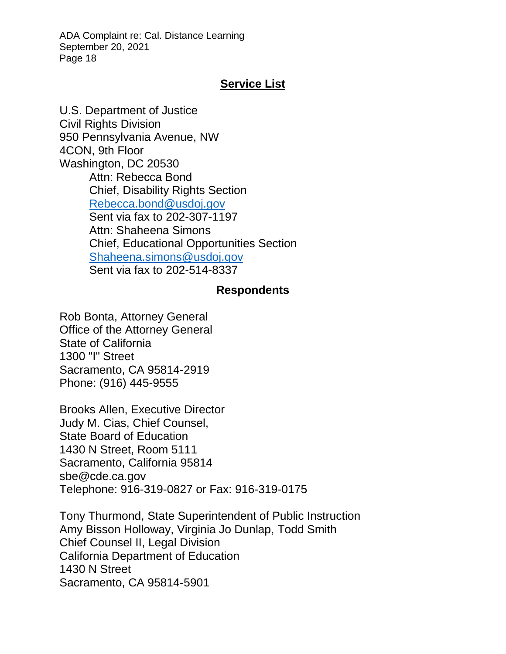#### **Service List**

U.S. Department of Justice Civil Rights Division 950 Pennsylvania Avenue, NW 4CON, 9th Floor Washington, DC 20530 Attn: Rebecca Bond Chief, Disability Rights Section [Rebecca.bond@usdoj.gov](mailto:Rebecca.bond@usdoj.gov) Sent via fax to 202-307-1197 Attn: Shaheena Simons Chief, Educational Opportunities Section [Shaheena.simons@usdoj.gov](mailto:Shaheena.simons@usdoj.gov) Sent via fax to 202-514-8337

#### **Respondents**

Rob Bonta, Attorney General Office of the Attorney General State of California 1300 "I" Street Sacramento, CA 95814-2919 Phone: (916) 445-9555

Brooks Allen, Executive Director Judy M. Cias, Chief Counsel, State Board of Education 1430 N Street, Room 5111 Sacramento, California 95814 sbe@cde.ca.gov Telephone: 916-319-0827 or Fax: 916-319-0175

Tony Thurmond, State Superintendent of Public Instruction Amy Bisson Holloway, Virginia Jo Dunlap, Todd Smith Chief Counsel II, Legal Division California Department of Education 1430 N Street Sacramento, CA 95814-5901